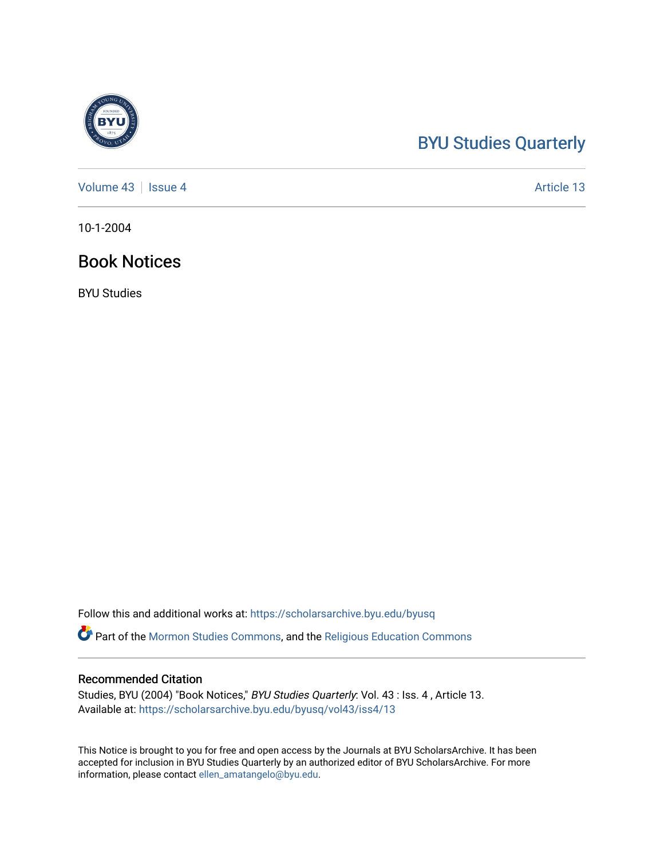## [BYU Studies Quarterly](https://scholarsarchive.byu.edu/byusq)

[Volume 43](https://scholarsarchive.byu.edu/byusq/vol43) | [Issue 4](https://scholarsarchive.byu.edu/byusq/vol43/iss4) Article 13

10-1-2004

## Book Notices

BYU Studies

Follow this and additional works at: [https://scholarsarchive.byu.edu/byusq](https://scholarsarchive.byu.edu/byusq?utm_source=scholarsarchive.byu.edu%2Fbyusq%2Fvol43%2Fiss4%2F13&utm_medium=PDF&utm_campaign=PDFCoverPages) 

Part of the [Mormon Studies Commons](http://network.bepress.com/hgg/discipline/1360?utm_source=scholarsarchive.byu.edu%2Fbyusq%2Fvol43%2Fiss4%2F13&utm_medium=PDF&utm_campaign=PDFCoverPages), and the [Religious Education Commons](http://network.bepress.com/hgg/discipline/1414?utm_source=scholarsarchive.byu.edu%2Fbyusq%2Fvol43%2Fiss4%2F13&utm_medium=PDF&utm_campaign=PDFCoverPages) 

## Recommended Citation

Studies, BYU (2004) "Book Notices," BYU Studies Quarterly: Vol. 43 : Iss. 4 , Article 13. Available at: [https://scholarsarchive.byu.edu/byusq/vol43/iss4/13](https://scholarsarchive.byu.edu/byusq/vol43/iss4/13?utm_source=scholarsarchive.byu.edu%2Fbyusq%2Fvol43%2Fiss4%2F13&utm_medium=PDF&utm_campaign=PDFCoverPages) 

This Notice is brought to you for free and open access by the Journals at BYU ScholarsArchive. It has been accepted for inclusion in BYU Studies Quarterly by an authorized editor of BYU ScholarsArchive. For more information, please contact [ellen\\_amatangelo@byu.edu.](mailto:ellen_amatangelo@byu.edu)